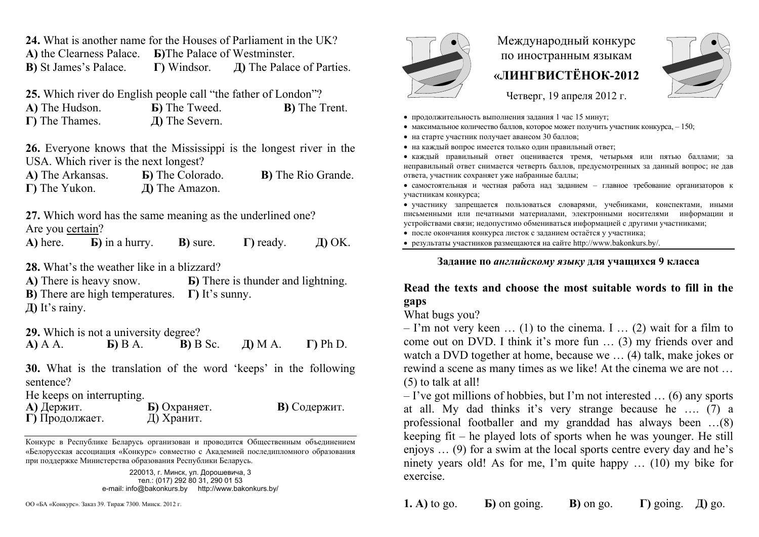**24.** What is another name for the Houses of Parliament in the UK?

**А)** the Clearness Palace. **Б)**The Palace of Westminster. **В)** St James's Palace. **Г)** Windsor. **Д)** The Palace of Parties.

**25.** Which river do English people call "the father of London"?

**А)** The Hudson. **Б)** The Tweed. **В)** The Trent. **Г)** The Thames. **Д)** The Severn.

**26.** Everyone knows that the Mississippi is the longest river in the USA. Which river is the next longest?

**А)** The Arkansas. **Б)** The Colorado. **В)** The Rio Grande. **Г)** The Yukon. **Д)** The Amazon.

**27.** Which word has the same meaning as the underlined one? Are you certain?

**А)** here. **Б)** in a hurry. **В)** sure. **Г)** ready. **Д)** OK.

**28.** What's the weather like in a blizzard?

**А)** There is heavy snow. **Б)** There is thunder and lightning. **В)** There are high temperatures. **Г)** It's sunny. **Д)** It's rainy.

**29.** Which is not a university degree? **А)** A A. **Б)** B A. **В)** B Sc. **Д)** M A. **Г)** Ph D.

**30.** What is the translation of the word 'keeps' in the following sentence?

He keeps on interrupting.

| А) Держит.<br>Г) Продолжает. | Б) Охраняет.<br>Д) Хранит. | В) Содержит. |
|------------------------------|----------------------------|--------------|
|                              |                            |              |

Конкурс <sup>в</sup> Республике Беларусь организован <sup>и</sup> проводится Общественным объединением «Белорусская ассоциация «Конкурс» совместно <sup>с</sup> Академией последипломного образования при поддержке Министерства образования Республики Беларусь.

> 220013, <sup>г</sup>. Минск, ул. Дорошевича, 3 тел.: (017) 292 80 31, 290 01 53 e-mail: info@bakonkurs.by http://www.bakonkurs.by/

ОО «БА «Конкурс». Заказ 39. Тираж 7300. Минск. 2012 <sup>г</sup>. **1.**



# Международный конкурс по иностранным языкам **«ЛИНГВИСТЁНОК-2012**



Четверг, 19 апреля 2012 г.

- продолжительность выполнения задания 1 час 15 минут;
- максимальное количество баллов, которое может получить участник конкурса,  $-150$ ;
- на старте участник получает авансом 30 баллов;
- на каждый вопрос имеется только один правильный ответ;

 каждый правильный ответ оценивается тремя, четырьмя или пятью баллами; за неправильный ответ снимается четверть баллов, предусмотренных за данный вопрос; не дав ответа, участник сохраняет уже набранные баллы;

 самостоятельная и честная работа над заданием – главное требование организаторов <sup>к</sup> участникам конкурса;

 участнику запрещается пользоваться словарями, учебниками, конспектами, иными письменными или печатными материалами, электронными носителями информации <sup>и</sup> устройствами связи; недопустимо обмениваться информацией <sup>с</sup> другими участниками;

после окончания конкурса листок <sup>с</sup> заданием остаётся у участника;

результаты участников размещаются на сайте http://www.bakonkurs.by/.

#### **Задание по** *английскому языку* **для учащихся 9 класса**

## **Read the texts and choose the most suitable words to fill in the gaps**

## What bugs you?

 $-$  I'm not very keen  $\dots$  (1) to the cinema. I  $\dots$  (2) wait for a film to come out on DVD. I think it's more fun … (3) my friends over and watch a DVD together at home, because we … (4) talk, make jokes or rewind a scene as many times as we like! At the cinema we are not … (5) to talk at all!

 $-$  I've got millions of hobbies, but I'm not interested  $\dots$  (6) any sports at all. My dad thinks it's very strange because he …. (7) a professional footballer and my granddad has always been …(8) keeping fit – he played lots of sports when he was younger. He still enjoys … (9) for a swim at the local sports centre every day and he's ninety years old! As for me, I'm quite happy … (10) my bike for exercise.

**А)** to go. **Б)** on going. **В)** on go. **Г)** going. **Д)** go.